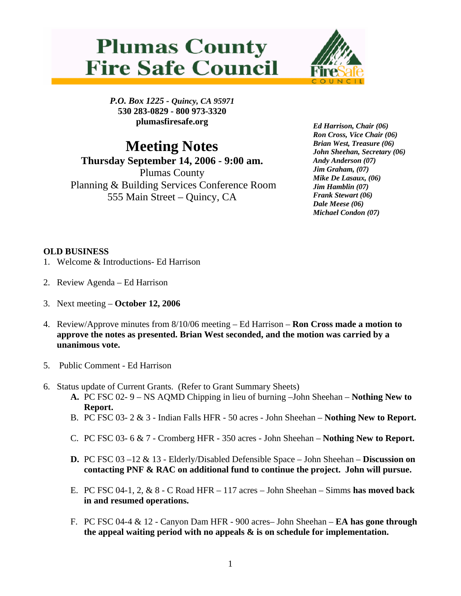## **Plumas County Fire Safe Council**



*P.O. Box 1225 - Quincy, CA 95971*  **530 283-0829 - 800 973-3320 plumasfiresafe.org** 

## **Meeting Notes Thursday September 14, 2006 - 9:00 am.**  Plumas County Planning & Building Services Conference Room 555 Main Street – Quincy, CA

*Ed Harrison, Chair (06) Ron Cross, Vice Chair (06) Brian West, Treasure (06) John Sheehan, Secretary (06) Andy Anderson (07) Jim Graham, (07) Mike De Lasaux, (06) Jim Hamblin (07) Frank Stewart (06) Dale Meese (06) Michael Condon (07)* 

## **OLD BUSINESS**

- 1. Welcome & Introductions- Ed Harrison
- 2. Review Agenda Ed Harrison
- 3. Next meeting **October 12, 2006**
- 4. Review/Approve minutes from 8/10/06 meeting Ed Harrison **Ron Cross made a motion to approve the notes as presented. Brian West seconded, and the motion was carried by a unanimous vote.**
- 5. Public Comment Ed Harrison
- 6. Status update of Current Grants. (Refer to Grant Summary Sheets)
	- **A.** PC FSC 02- 9 NS AQMD Chipping in lieu of burning –John Sheehan **Nothing New to Report.**
	- B. PC FSC 03- 2 & 3 Indian Falls HFR 50 acres John Sheehan **Nothing New to Report.**
	- C. PC FSC 03- 6 & 7 Cromberg HFR 350 acres John Sheehan **Nothing New to Report.**
	- **D.** PC FSC 03 –12 & 13 Elderly/Disabled Defensible Space John Sheehan **Discussion on contacting PNF & RAC on additional fund to continue the project. John will pursue.**
	- E. PC FSC 04-1, 2, & 8 C Road HFR 117 acres John Sheehan Simms **has moved back in and resumed operations.**
	- F. PC FSC 04-4 & 12 Canyon Dam HFR 900 acres– John Sheehan **EA has gone through the appeal waiting period with no appeals & is on schedule for implementation.**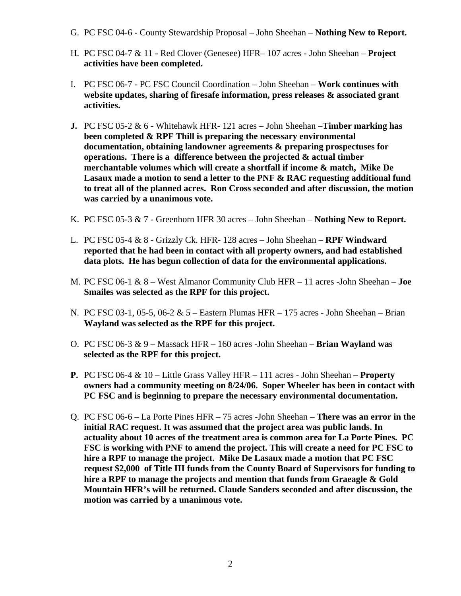- G. PC FSC 04-6 County Stewardship Proposal John Sheehan **Nothing New to Report.**
- H. PC FSC 04-7 & 11 Red Clover (Genesee) HFR– 107 acres John Sheehan – **Project activities have been completed.**
- I. PC FSC 06-7 PC FSC Council Coordination John Sheehan **Work continues with website updates, sharing of firesafe information, press releases & associated grant activities.**
- **J.** PC FSC 05-2 & 6 Whitehawk HFR- 121 acres John Sheehan –**Timber marking has been completed & RPF Thill is preparing the necessary environmental documentation, obtaining landowner agreements & preparing prospectuses for operations. There is a difference between the projected & actual timber merchantable volumes which will create a shortfall if income & match, Mike De Lasaux made a motion to send a letter to the PNF & RAC requesting additional fund to treat all of the planned acres. Ron Cross seconded and after discussion, the motion was carried by a unanimous vote.**
- K. PC FSC 05-3 & 7 Greenhorn HFR 30 acres John Sheehan **Nothing New to Report.**
- L. PC FSC 05-4 & 8 Grizzly Ck. HFR- 128 acres John Sheehan – **RPF Windward reported that he had been in contact with all property owners, and had established data plots. He has begun collection of data for the environmental applications.**
- M. PC FSC 06-1 & 8 West Almanor Community Club HFR 11 acres -John Sheehan **Joe Smailes was selected as the RPF for this project.**
- N. PC FSC 03-1, 05-5, 06-2 & 5 Eastern Plumas HFR 175 acres John Sheehan Brian **Wayland was selected as the RPF for this project.**
- O. PC FSC 06-3 & 9 Massack HFR 160 acres -John Sheehan **Brian Wayland was selected as the RPF for this project.**
- **P.** PC FSC 06-4 & 10 Little Grass Valley HFR 111 acres John Sheehan **Property owners had a community meeting on 8/24/06. Soper Wheeler has been in contact with PC FSC and is beginning to prepare the necessary environmental documentation.**
- Q. PC FSC 06-6 La Porte Pines HFR 75 acres -John Sheehan **There was an error in the initial RAC request. It was assumed that the project area was public lands. In actuality about 10 acres of the treatment area is common area for La Porte Pines. PC FSC is working with PNF to amend the project. This will create a need for PC FSC to hire a RPF to manage the project. Mike De Lasaux made a motion that PC FSC request \$2,000 of Title III funds from the County Board of Supervisors for funding to hire a RPF to manage the projects and mention that funds from Graeagle & Gold Mountain HFR's will be returned. Claude Sanders seconded and after discussion, the motion was carried by a unanimous vote.**